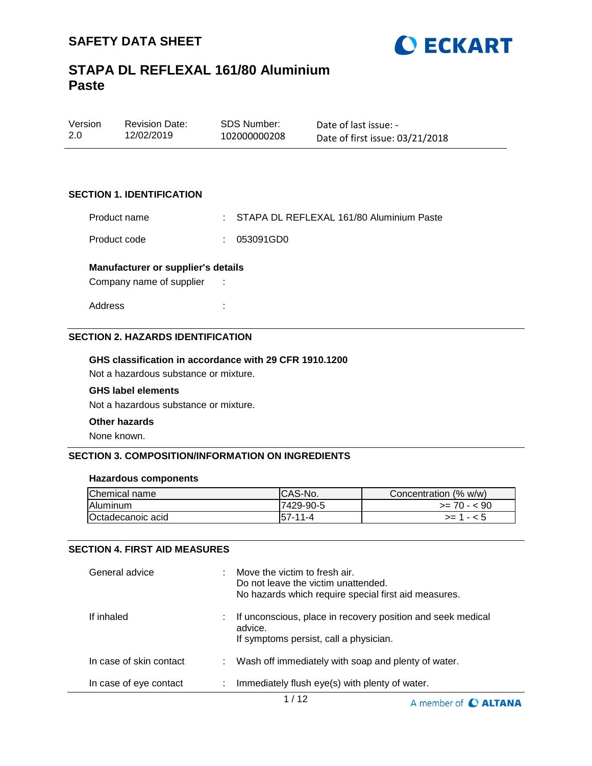



| Version | <b>Revision Date:</b> | SDS Number:  | Date of last issue: -           |
|---------|-----------------------|--------------|---------------------------------|
| 2.0     | 12/02/2019            | 102000000208 | Date of first issue: 03/21/2018 |

#### **SECTION 1. IDENTIFICATION**

Product name : STAPA DL REFLEXAL 161/80 Aluminium Paste

Product code : 053091GD0

#### **Manufacturer or supplier's details**

Company name of supplier :

Address :

#### **SECTION 2. HAZARDS IDENTIFICATION**

#### **GHS classification in accordance with 29 CFR 1910.1200**

Not a hazardous substance or mixture.

#### **GHS label elements**

Not a hazardous substance or mixture.

#### **Other hazards**

None known.

#### **SECTION 3. COMPOSITION/INFORMATION ON INGREDIENTS**

#### **Hazardous components**

| Chemical name            | ICAS-No.       | Concentration (% w/w) |
|--------------------------|----------------|-----------------------|
| Aluminum                 | 7429-90-5      | $>= 70 - 590$         |
| <b>Octadecanoic acid</b> | $157 - 11 - 4$ | $>= 1 - 5$            |

#### **SECTION 4. FIRST AID MEASURES**

| General advice          |    | Move the victim to fresh air.<br>Do not leave the victim unattended.<br>No hazards which require special first aid measures. |
|-------------------------|----|------------------------------------------------------------------------------------------------------------------------------|
| If inhaled              |    | If unconscious, place in recovery position and seek medical<br>advice.<br>If symptoms persist, call a physician.             |
| In case of skin contact |    | Wash off immediately with soap and plenty of water.                                                                          |
| In case of eye contact  | ÷. | Immediately flush eye(s) with plenty of water.                                                                               |

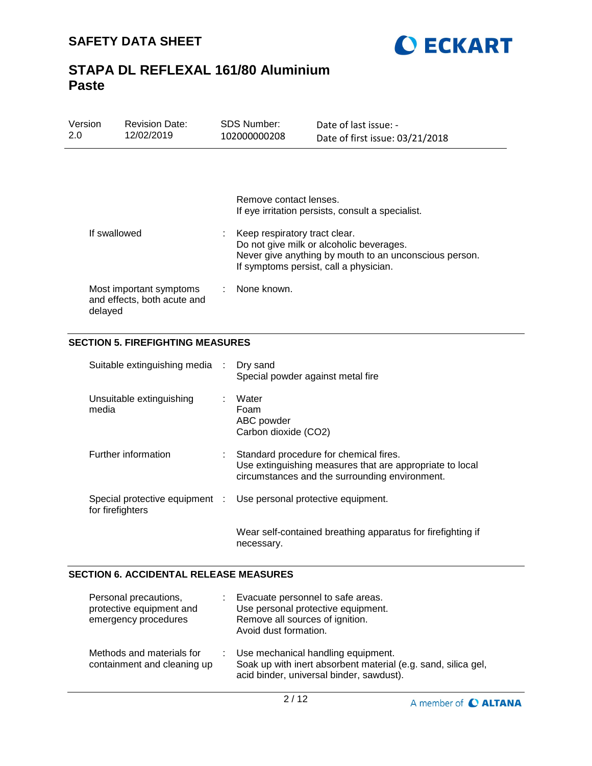



| Version | <b>Revision Date:</b> | SDS Number:  | Date of last issue: -           |
|---------|-----------------------|--------------|---------------------------------|
| -2.0    | 12/02/2019            | 102000000208 | Date of first issue: 03/21/2018 |
|         |                       |              |                                 |

|                                                                   | Remove contact lenses.<br>If eye irritation persists, consult a specialist.                                                                                                   |
|-------------------------------------------------------------------|-------------------------------------------------------------------------------------------------------------------------------------------------------------------------------|
| If swallowed                                                      | Keep respiratory tract clear.<br>Do not give milk or alcoholic beverages.<br>Never give anything by mouth to an unconscious person.<br>If symptoms persist, call a physician. |
| Most important symptoms<br>and effects, both acute and<br>delayed | None known.                                                                                                                                                                   |

### **SECTION 5. FIREFIGHTING MEASURES**

| Suitable extinguishing media : Dry sand |    | Special powder against metal fire                                                                                                                    |
|-----------------------------------------|----|------------------------------------------------------------------------------------------------------------------------------------------------------|
| Unsuitable extinguishing<br>media       |    | Water<br>Foam<br>ABC powder<br>Carbon dioxide (CO2)                                                                                                  |
| Further information                     | t. | Standard procedure for chemical fires.<br>Use extinguishing measures that are appropriate to local<br>circumstances and the surrounding environment. |
| for firefighters                        |    | Special protective equipment : Use personal protective equipment.                                                                                    |
|                                         |    | Wear self-contained breathing apparatus for firefighting if<br>necessary.                                                                            |

#### **SECTION 6. ACCIDENTAL RELEASE MEASURES**

| Personal precautions,<br>protective equipment and<br>emergency procedures | Evacuate personnel to safe areas.<br>Use personal protective equipment.<br>Remove all sources of ignition.<br>Avoid dust formation.               |
|---------------------------------------------------------------------------|---------------------------------------------------------------------------------------------------------------------------------------------------|
| Methods and materials for<br>containment and cleaning up                  | : Use mechanical handling equipment.<br>Soak up with inert absorbent material (e.g. sand, silica gel,<br>acid binder, universal binder, sawdust). |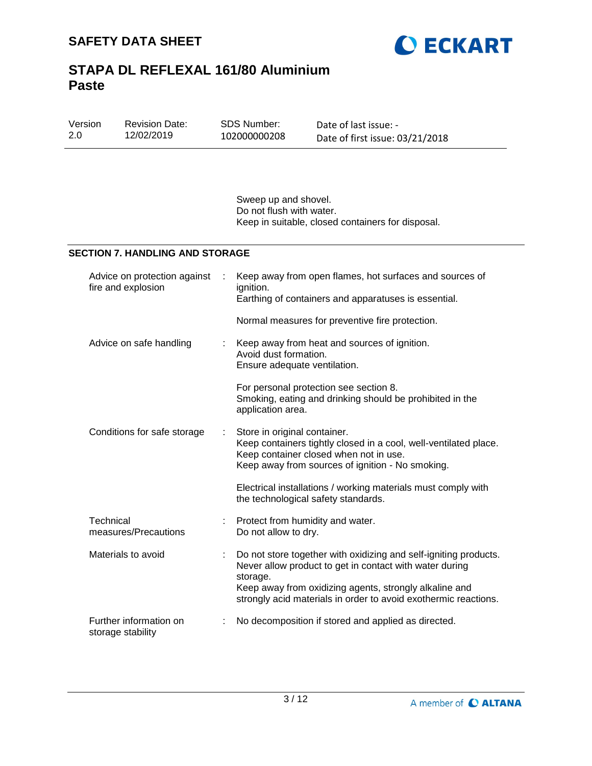

| Version<br>2.0 | <b>Revision Date:</b><br>12/02/2019                | SDS Number:<br>102000000208                                                                           | Date of last issue: -<br>Date of first issue: 03/21/2018                                                                                                                                                                                                 |  |
|----------------|----------------------------------------------------|-------------------------------------------------------------------------------------------------------|----------------------------------------------------------------------------------------------------------------------------------------------------------------------------------------------------------------------------------------------------------|--|
|                |                                                    | Sweep up and shovel.<br>Do not flush with water.<br>Keep in suitable, closed containers for disposal. |                                                                                                                                                                                                                                                          |  |
|                | <b>SECTION 7. HANDLING AND STORAGE</b>             |                                                                                                       |                                                                                                                                                                                                                                                          |  |
|                | Advice on protection against<br>fire and explosion | ignition.                                                                                             | Keep away from open flames, hot surfaces and sources of<br>Earthing of containers and apparatuses is essential.                                                                                                                                          |  |
|                |                                                    |                                                                                                       | Normal measures for preventive fire protection.                                                                                                                                                                                                          |  |
|                | Advice on safe handling                            | Avoid dust formation.<br>Ensure adequate ventilation.                                                 | Keep away from heat and sources of ignition.                                                                                                                                                                                                             |  |
|                |                                                    | application area.                                                                                     | For personal protection see section 8.<br>Smoking, eating and drinking should be prohibited in the                                                                                                                                                       |  |
|                | Conditions for safe storage                        | Store in original container.                                                                          | Keep containers tightly closed in a cool, well-ventilated place.<br>Keep container closed when not in use.<br>Keep away from sources of ignition - No smoking.                                                                                           |  |
|                |                                                    | the technological safety standards.                                                                   | Electrical installations / working materials must comply with                                                                                                                                                                                            |  |
|                | Technical<br>measures/Precautions                  | Protect from humidity and water.<br>Do not allow to dry.                                              |                                                                                                                                                                                                                                                          |  |
|                | Materials to avoid                                 | storage.                                                                                              | Do not store together with oxidizing and self-igniting products.<br>Never allow product to get in contact with water during<br>Keep away from oxidizing agents, strongly alkaline and<br>strongly acid materials in order to avoid exothermic reactions. |  |
|                | Further information on<br>storage stability        |                                                                                                       | No decomposition if stored and applied as directed.                                                                                                                                                                                                      |  |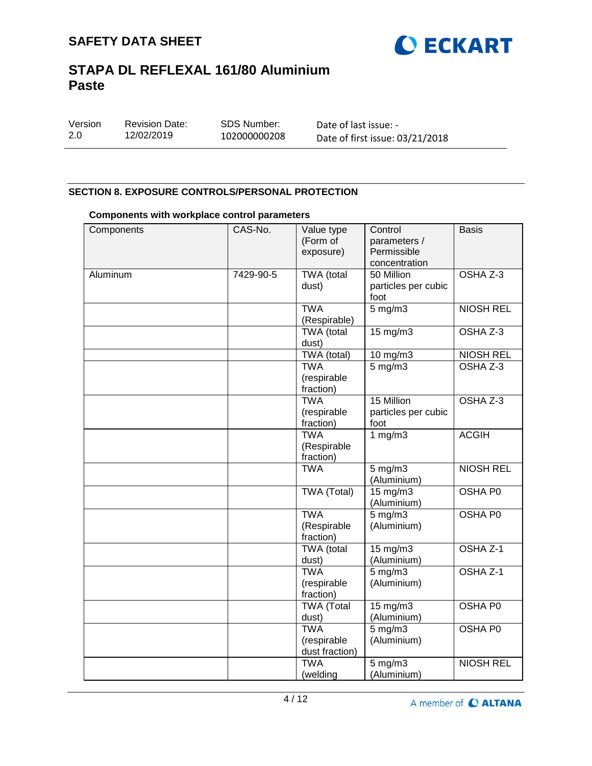

| Version | <b>Revision Date:</b> | SDS Number:  | Date of last issue: -           |
|---------|-----------------------|--------------|---------------------------------|
| 2.0     | 12/02/2019            | 102000000208 | Date of first issue: 03/21/2018 |

### **SECTION 8. EXPOSURE CONTROLS/PERSONAL PROTECTION**

#### **Components with workplace control parameters**

| Components | CAS-No.   | Value type<br>(Form of<br>exposure)                   | Control<br>parameters /<br>Permissible<br>concentration | <b>Basis</b>                 |
|------------|-----------|-------------------------------------------------------|---------------------------------------------------------|------------------------------|
| Aluminum   | 7429-90-5 | <b>TWA</b> (total<br>dust)                            | 50 Million<br>particles per cubic<br>foot               | OSHA Z-3                     |
|            |           | <b>TWA</b><br>(Respirable)                            | $5$ mg/m $3$                                            | <b>NIOSH REL</b>             |
|            |           | <b>TWA</b> (total<br>dust)                            | $15 \text{ mg/m}$                                       | OSHA Z-3                     |
|            |           | TWA (total)<br><b>TWA</b><br>(respirable<br>fraction) | 10 mg/m3<br>$5$ mg/m $3$                                | <b>NIOSH REL</b><br>OSHA Z-3 |
|            |           | <b>TWA</b><br>(respirable<br>fraction)                | 15 Million<br>particles per cubic<br>foot               | OSHA Z-3                     |
|            |           | <b>TWA</b><br>(Respirable<br>fraction)                | 1 $mg/m3$                                               | <b>ACGIH</b>                 |
|            |           | <b>TWA</b>                                            | $5$ mg/m $3$<br>(Aluminium)                             | <b>NIOSH REL</b>             |
|            |           | <b>TWA (Total)</b>                                    | $15 \text{ mg/m}$<br>(Aluminium)                        | <b>OSHA P0</b>               |
|            |           | <b>TWA</b><br>(Respirable<br>fraction)                | $5$ mg/m $3$<br>(Aluminium)                             | OSHA P0                      |
|            |           | TWA (total<br>dust)                                   | 15 mg/m3<br>(Aluminium)                                 | OSHA Z-1                     |
|            |           | <b>TWA</b><br>(respirable<br>fraction)                | $5 \text{ mg/m}$<br>(Aluminium)                         | OSHA <sub>Z-1</sub>          |
|            |           | <b>TWA</b> (Total<br>dust)                            | 15 mg/m3<br>(Aluminium)                                 | OSHA P0                      |
|            |           | <b>TWA</b><br>(respirable<br>dust fraction)           | $5 \text{ mg/m}$<br>(Aluminium)                         | OSHA P0                      |
|            |           | <b>TWA</b><br>(welding                                | $5$ mg/m $3$<br>(Aluminium)                             | <b>NIOSH REL</b>             |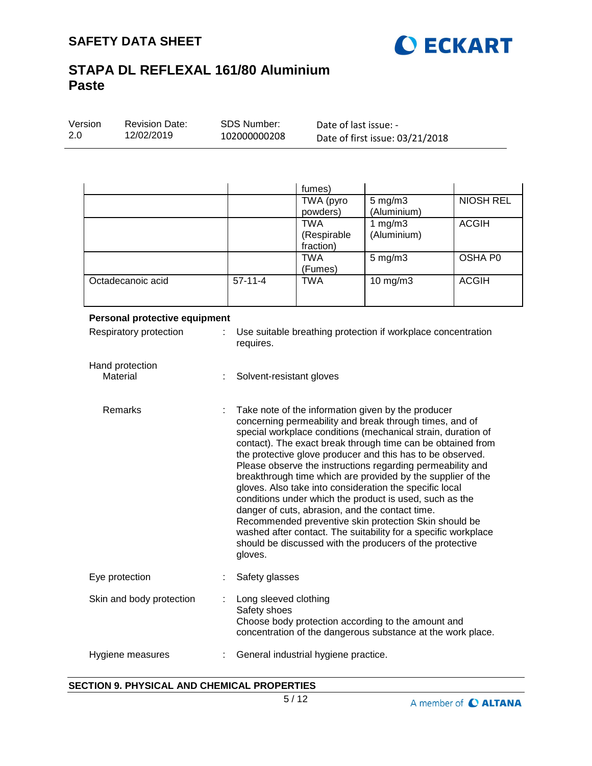

|                   |           | fumes)      |                    |                  |
|-------------------|-----------|-------------|--------------------|------------------|
|                   |           | TWA (pyro   | $5 \text{ mg/m}$ 3 | <b>NIOSH REL</b> |
|                   |           | powders)    | (Aluminium)        |                  |
|                   |           | <b>TWA</b>  | 1 $mg/m3$          | <b>ACGIH</b>     |
|                   |           | (Respirable | (Aluminium)        |                  |
|                   |           | fraction)   |                    |                  |
|                   |           | <b>TWA</b>  | $5 \text{ mg/m}$ 3 | OSHA P0          |
|                   |           | (Fumes)     |                    |                  |
| Octadecanoic acid | $57-11-4$ | <b>TWA</b>  | $10$ mg/m $3$      | <b>ACGIH</b>     |
|                   |           |             |                    |                  |

| Personal protective equipment |                                                                                                                                                                                                                                                                                                                                                                                                                                                                                                                                                                                                                                                                                                                                                                                                                    |
|-------------------------------|--------------------------------------------------------------------------------------------------------------------------------------------------------------------------------------------------------------------------------------------------------------------------------------------------------------------------------------------------------------------------------------------------------------------------------------------------------------------------------------------------------------------------------------------------------------------------------------------------------------------------------------------------------------------------------------------------------------------------------------------------------------------------------------------------------------------|
| Respiratory protection<br>÷.  | Use suitable breathing protection if workplace concentration<br>requires.                                                                                                                                                                                                                                                                                                                                                                                                                                                                                                                                                                                                                                                                                                                                          |
| Hand protection<br>Material   | Solvent-resistant gloves                                                                                                                                                                                                                                                                                                                                                                                                                                                                                                                                                                                                                                                                                                                                                                                           |
| <b>Remarks</b><br>÷           | Take note of the information given by the producer<br>concerning permeability and break through times, and of<br>special workplace conditions (mechanical strain, duration of<br>contact). The exact break through time can be obtained from<br>the protective glove producer and this has to be observed.<br>Please observe the instructions regarding permeability and<br>breakthrough time which are provided by the supplier of the<br>gloves. Also take into consideration the specific local<br>conditions under which the product is used, such as the<br>danger of cuts, abrasion, and the contact time.<br>Recommended preventive skin protection Skin should be<br>washed after contact. The suitability for a specific workplace<br>should be discussed with the producers of the protective<br>gloves. |
| Eye protection                | Safety glasses                                                                                                                                                                                                                                                                                                                                                                                                                                                                                                                                                                                                                                                                                                                                                                                                     |
| Skin and body protection      | Long sleeved clothing<br>Safety shoes                                                                                                                                                                                                                                                                                                                                                                                                                                                                                                                                                                                                                                                                                                                                                                              |

# concentration of the dangerous substance at the work place. Hygiene measures : General industrial hygiene practice.

### **SECTION 9. PHYSICAL AND CHEMICAL PROPERTIES**

Choose body protection according to the amount and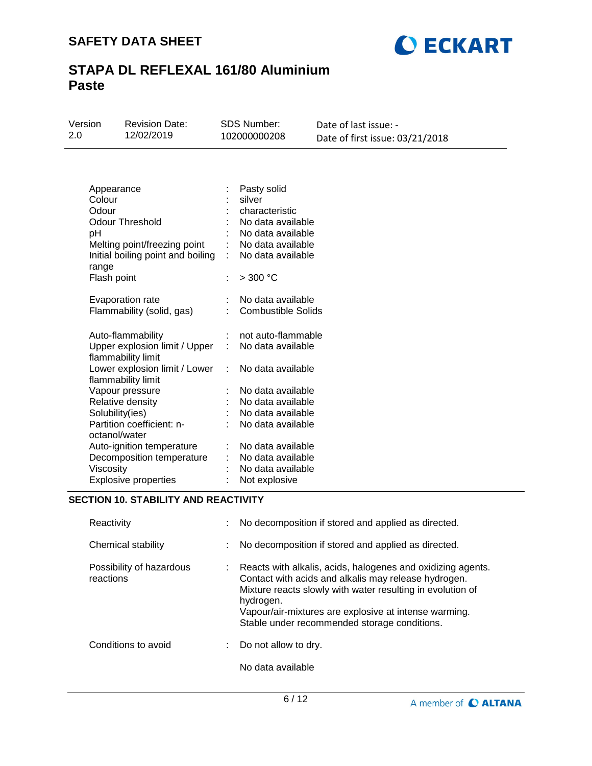

| 12/02/2019                      | SDS Number:           |
|---------------------------------|-----------------------|
| 2.0                             | Version               |
| 102000000208                    | <b>Revision Date:</b> |
| Date of first issue: 03/21/2018 | Date of last issue: - |

| Appearance<br>Colour<br>Odour<br><b>Odour Threshold</b><br>рH<br>Melting point/freezing point<br>Initial boiling point and boiling<br>range | Pasty solid<br>silver<br>characteristic<br>No data available<br>No data available<br>No data available<br>t.<br>No data available |
|---------------------------------------------------------------------------------------------------------------------------------------------|-----------------------------------------------------------------------------------------------------------------------------------|
| Flash point                                                                                                                                 | $>$ 300 °C<br>÷                                                                                                                   |
| Evaporation rate<br>Flammability (solid, gas)                                                                                               | No data available<br>t<br><b>Combustible Solids</b>                                                                               |
| Auto-flammability<br>Upper explosion limit / Upper<br>flammability limit                                                                    | not auto-flammable<br>÷<br>t.<br>No data available                                                                                |
| Lower explosion limit / Lower<br>flammability limit                                                                                         | No data available<br>t.                                                                                                           |
| Vapour pressure                                                                                                                             | No data available                                                                                                                 |
| Relative density                                                                                                                            | No data available                                                                                                                 |
| Solubility(ies)                                                                                                                             | No data available                                                                                                                 |
| Partition coefficient: n-<br>octanol/water                                                                                                  | ÷<br>No data available                                                                                                            |
| Auto-ignition temperature<br>Decomposition temperature<br>Viscosity<br><b>Explosive properties</b>                                          | No data available<br>No data available<br>No data available<br>Not explosive                                                      |

### **SECTION 10. STABILITY AND REACTIVITY**

| Reactivity                            |    | No decomposition if stored and applied as directed.                                                                                                                                                                                                                                                     |
|---------------------------------------|----|---------------------------------------------------------------------------------------------------------------------------------------------------------------------------------------------------------------------------------------------------------------------------------------------------------|
| Chemical stability                    |    | No decomposition if stored and applied as directed.                                                                                                                                                                                                                                                     |
| Possibility of hazardous<br>reactions | t. | Reacts with alkalis, acids, halogenes and oxidizing agents.<br>Contact with acids and alkalis may release hydrogen.<br>Mixture reacts slowly with water resulting in evolution of<br>hydrogen.<br>Vapour/air-mixtures are explosive at intense warming.<br>Stable under recommended storage conditions. |
| Conditions to avoid                   | ÷. | Do not allow to dry.                                                                                                                                                                                                                                                                                    |
|                                       |    | No data available                                                                                                                                                                                                                                                                                       |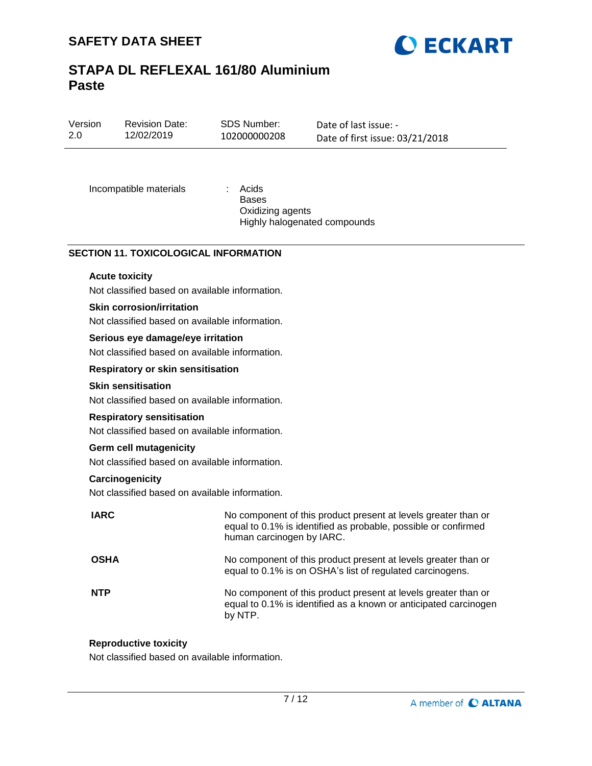

| Version<br>2.0 | <b>Revision Date:</b><br>12/02/2019            | SDS Number:<br>102000000208               | Date of last issue: -<br>Date of first issue: 03/21/2018 |
|----------------|------------------------------------------------|-------------------------------------------|----------------------------------------------------------|
|                | Incompatible materials                         | Acids<br><b>Bases</b><br>Oxidizing agents | Highly halogenated compounds                             |
|                | <b>SECTION 11. TOXICOLOGICAL INFORMATION</b>   |                                           |                                                          |
|                | <b>Acute toxicity</b>                          |                                           |                                                          |
|                | Not classified based on available information. |                                           |                                                          |
|                | <b>Skin corrosion/irritation</b>               |                                           |                                                          |
|                | Not classified based on available information. |                                           |                                                          |
|                | Serious eye damage/eye irritation              |                                           |                                                          |

Not classified based on available information.

#### **Respiratory or skin sensitisation**

#### **Skin sensitisation**

Not classified based on available information.

#### **Respiratory sensitisation**

Not classified based on available information.

#### **Germ cell mutagenicity**

Not classified based on available information.

#### **Carcinogenicity**

Not classified based on available information.

| <b>IARC</b> | No component of this product present at levels greater than or<br>equal to 0.1% is identified as probable, possible or confirmed<br>human carcinogen by IARC. |
|-------------|---------------------------------------------------------------------------------------------------------------------------------------------------------------|
| <b>OSHA</b> | No component of this product present at levels greater than or<br>equal to 0.1% is on OSHA's list of regulated carcinogens.                                   |
| <b>NTP</b>  | No component of this product present at levels greater than or<br>equal to 0.1% is identified as a known or anticipated carcinogen<br>by NTP.                 |

#### **Reproductive toxicity**

Not classified based on available information.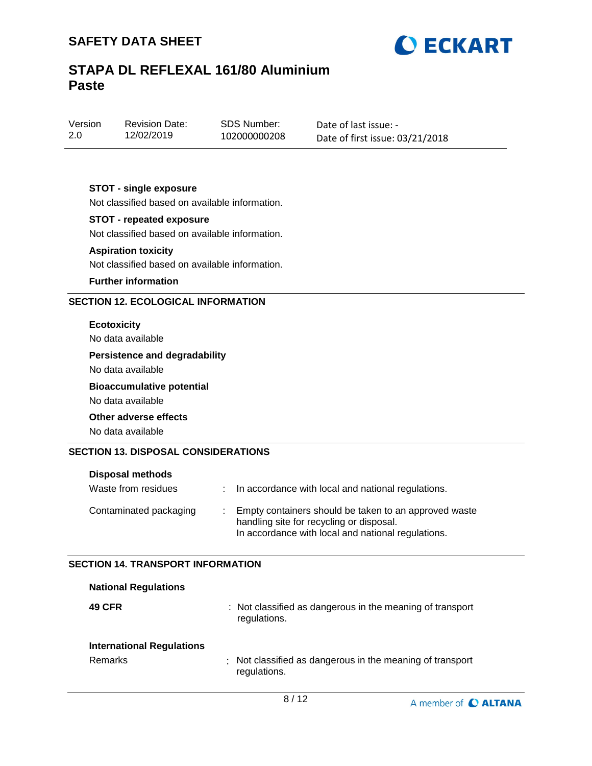

| Version | <b>Revision Date:</b> |  |
|---------|-----------------------|--|
| 2.0     | 12/02/2019            |  |

SDS Number: 102000000208 Date of last issue: - Date of first issue: 03/21/2018

### **STOT - single exposure**

Not classified based on available information.

#### **STOT - repeated exposure**

Not classified based on available information.

#### **Aspiration toxicity**

Not classified based on available information.

#### **Further information**

### **SECTION 12. ECOLOGICAL INFORMATION**

#### **Ecotoxicity**

No data available

### **Persistence and degradability**

No data available

#### **Bioaccumulative potential**

No data available

#### **Other adverse effects**

No data available

#### **SECTION 13. DISPOSAL CONSIDERATIONS**

| <b>Disposal methods</b> |    |                                                                                                                                                         |
|-------------------------|----|---------------------------------------------------------------------------------------------------------------------------------------------------------|
| Waste from residues     |    | In accordance with local and national regulations.                                                                                                      |
| Contaminated packaging  | л. | Empty containers should be taken to an approved waste<br>handling site for recycling or disposal.<br>In accordance with local and national regulations. |

#### **SECTION 14. TRANSPORT INFORMATION**

| <b>National Regulations</b>      |                                                                           |
|----------------------------------|---------------------------------------------------------------------------|
| <b>49 CFR</b>                    | : Not classified as dangerous in the meaning of transport<br>regulations. |
| <b>International Regulations</b> |                                                                           |
| Remarks                          | : Not classified as dangerous in the meaning of transport<br>regulations. |

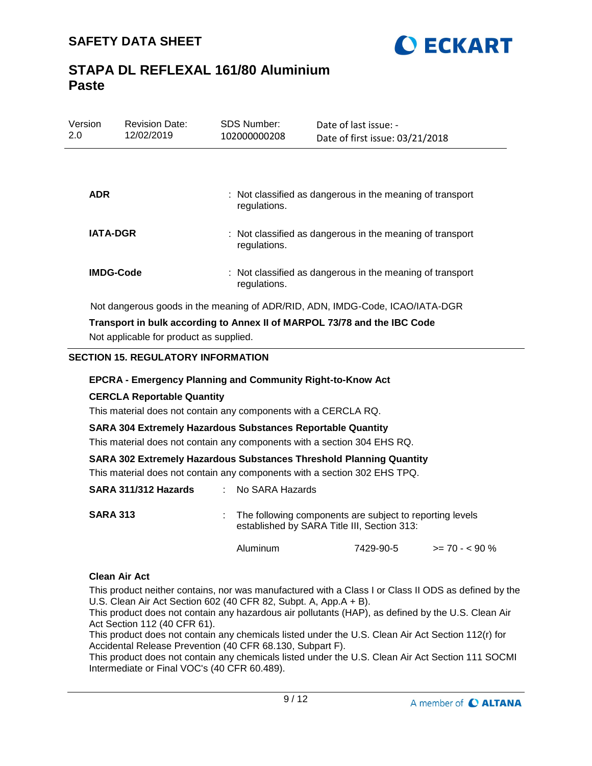

| Version<br>2.0   | <b>Revision Date:</b><br>12/02/2019 | <b>SDS Number:</b><br>102000000208 | Date of last issue: -<br>Date of first issue: 03/21/2018                     |
|------------------|-------------------------------------|------------------------------------|------------------------------------------------------------------------------|
|                  |                                     |                                    |                                                                              |
| <b>ADR</b>       |                                     | regulations.                       | : Not classified as dangerous in the meaning of transport                    |
| <b>IATA-DGR</b>  |                                     | regulations.                       | : Not classified as dangerous in the meaning of transport                    |
| <b>IMDG-Code</b> |                                     | regulations.                       | : Not classified as dangerous in the meaning of transport                    |
|                  |                                     |                                    | Not dangerous goods in the meaning of ADR/RID, ADN, IMDG-Code, ICAO/IATA-DGR |

**Transport in bulk according to Annex II of MARPOL 73/78 and the IBC Code** Not applicable for product as supplied.

#### **SECTION 15. REGULATORY INFORMATION**

#### **EPCRA - Emergency Planning and Community Right-to-Know Act**

#### **CERCLA Reportable Quantity**

This material does not contain any components with a CERCLA RQ.

#### **SARA 304 Extremely Hazardous Substances Reportable Quantity**

This material does not contain any components with a section 304 EHS RQ.

#### **SARA 302 Extremely Hazardous Substances Threshold Planning Quantity**

This material does not contain any components with a section 302 EHS TPQ.

| SARA 311/312 Hazards | : No SARA Hazards                                                                                         |
|----------------------|-----------------------------------------------------------------------------------------------------------|
| <b>SARA 313</b>      | : The following components are subject to reporting levels<br>established by SARA Title III, Section 313: |

#### **Clean Air Act**

This product neither contains, nor was manufactured with a Class I or Class II ODS as defined by the U.S. Clean Air Act Section 602 (40 CFR 82, Subpt. A, App.A + B).

Aluminum 7429-90-5 >= 70 - < 90 %

This product does not contain any hazardous air pollutants (HAP), as defined by the U.S. Clean Air Act Section 112 (40 CFR 61).

This product does not contain any chemicals listed under the U.S. Clean Air Act Section 112(r) for Accidental Release Prevention (40 CFR 68.130, Subpart F).

This product does not contain any chemicals listed under the U.S. Clean Air Act Section 111 SOCMI Intermediate or Final VOC's (40 CFR 60.489).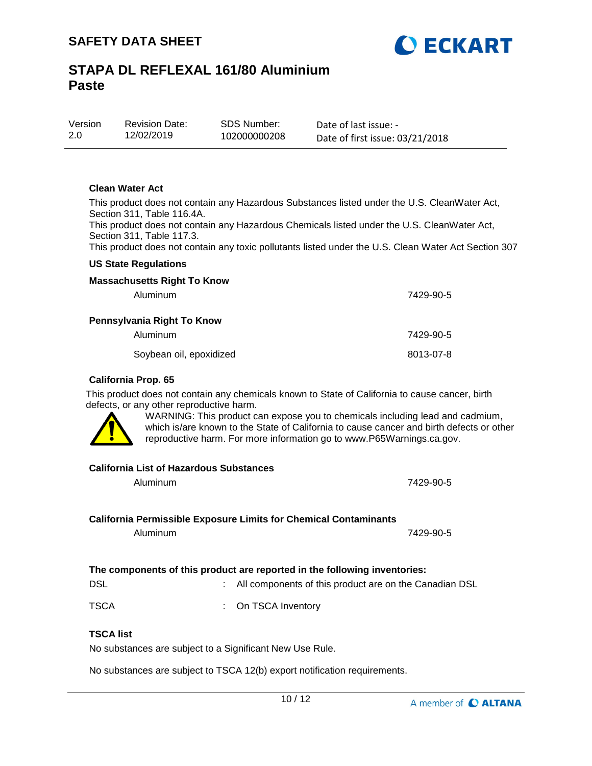

| Version | <b>Revision Date:</b> | SDS Number:  | Date of last issue: -           |
|---------|-----------------------|--------------|---------------------------------|
| 2.0     | 12/02/2019            | 102000000208 | Date of first issue: 03/21/2018 |

#### **Clean Water Act**

This product does not contain any Hazardous Substances listed under the U.S. CleanWater Act, Section 311, Table 116.4A.

This product does not contain any Hazardous Chemicals listed under the U.S. CleanWater Act, Section 311, Table 117.3.

This product does not contain any toxic pollutants listed under the U.S. Clean Water Act Section 307

#### **US State Regulations**

| <b>Massachusetts Right To Know</b> |           |
|------------------------------------|-----------|
| Aluminum                           | 7429-90-5 |
| Pennsylvania Right To Know         |           |
| Aluminum                           | 7429-90-5 |
| Soybean oil, epoxidized            | 8013-07-8 |

#### **California Prop. 65**

This product does not contain any chemicals known to State of California to cause cancer, birth defects, or any other reproductive harm.



WARNING: This product can expose you to chemicals including lead and cadmium, which is/are known to the State of California to cause cancer and birth defects or other reproductive harm. For more information go to www.P65Warnings.ca.gov.

#### **California List of Hazardous Substances**

| Aluminum                                                                  |  | 7429-90-5                                              |
|---------------------------------------------------------------------------|--|--------------------------------------------------------|
| California Permissible Exposure Limits for Chemical Contaminants          |  |                                                        |
| Aluminum                                                                  |  | 7429-90-5                                              |
|                                                                           |  |                                                        |
| The components of this product are reported in the following inventories: |  |                                                        |
| DSL                                                                       |  | All components of this product are on the Canadian DSL |

TSCA : On TSCA Inventory

### **TSCA list**

No substances are subject to a Significant New Use Rule.

No substances are subject to TSCA 12(b) export notification requirements.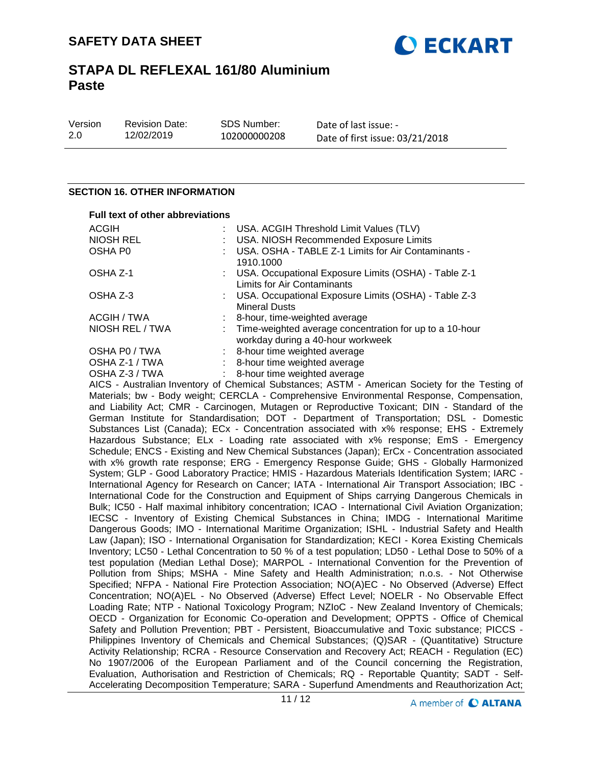

| Version |  |
|---------|--|
| 2.0     |  |

Revision Date: 12/02/2019

Date of last issue: - Date of first issue: 03/21/2018

#### **SECTION 16. OTHER INFORMATION**

# **Full text of other abbreviations**

| ACGIH           | : USA. ACGIH Threshold Limit Values (TLV)                                                      |
|-----------------|------------------------------------------------------------------------------------------------|
| NIOSH REL       | : USA. NIOSH Recommended Exposure Limits                                                       |
| OSHA P0         | : USA. OSHA - TABLE Z-1 Limits for Air Contaminants -<br>1910.1000                             |
| OSHA Z-1        | : USA. Occupational Exposure Limits (OSHA) - Table Z-1<br>Limits for Air Contaminants          |
| OSHA Z-3        | : USA. Occupational Exposure Limits (OSHA) - Table Z-3<br><b>Mineral Dusts</b>                 |
| ACGIH / TWA     | : 8-hour, time-weighted average                                                                |
| NIOSH REL / TWA | : Time-weighted average concentration for up to a 10-hour<br>workday during a 40-hour workweek |
| OSHA P0 / TWA   | : 8-hour time weighted average                                                                 |
| OSHA Z-1 / TWA  | : 8-hour time weighted average                                                                 |
| . <i>. .</i>    |                                                                                                |

OSHA Z-3 / TWA : 8-hour time weighted average

AICS - Australian Inventory of Chemical Substances; ASTM - American Society for the Testing of Materials; bw - Body weight; CERCLA - Comprehensive Environmental Response, Compensation, and Liability Act; CMR - Carcinogen, Mutagen or Reproductive Toxicant; DIN - Standard of the German Institute for Standardisation; DOT - Department of Transportation; DSL - Domestic Substances List (Canada); ECx - Concentration associated with x% response; EHS - Extremely Hazardous Substance; ELx - Loading rate associated with x% response; EmS - Emergency Schedule; ENCS - Existing and New Chemical Substances (Japan); ErCx - Concentration associated with x% growth rate response; ERG - Emergency Response Guide; GHS - Globally Harmonized System; GLP - Good Laboratory Practice; HMIS - Hazardous Materials Identification System; IARC - International Agency for Research on Cancer; IATA - International Air Transport Association; IBC - International Code for the Construction and Equipment of Ships carrying Dangerous Chemicals in Bulk; IC50 - Half maximal inhibitory concentration; ICAO - International Civil Aviation Organization; IECSC - Inventory of Existing Chemical Substances in China; IMDG - International Maritime Dangerous Goods; IMO - International Maritime Organization; ISHL - Industrial Safety and Health Law (Japan); ISO - International Organisation for Standardization; KECI - Korea Existing Chemicals Inventory; LC50 - Lethal Concentration to 50 % of a test population; LD50 - Lethal Dose to 50% of a test population (Median Lethal Dose); MARPOL - International Convention for the Prevention of Pollution from Ships; MSHA - Mine Safety and Health Administration; n.o.s. - Not Otherwise Specified; NFPA - National Fire Protection Association; NO(A)EC - No Observed (Adverse) Effect Concentration; NO(A)EL - No Observed (Adverse) Effect Level; NOELR - No Observable Effect Loading Rate; NTP - National Toxicology Program; NZIoC - New Zealand Inventory of Chemicals; OECD - Organization for Economic Co-operation and Development; OPPTS - Office of Chemical Safety and Pollution Prevention; PBT - Persistent, Bioaccumulative and Toxic substance; PICCS - Philippines Inventory of Chemicals and Chemical Substances; (Q)SAR - (Quantitative) Structure Activity Relationship; RCRA - Resource Conservation and Recovery Act; REACH - Regulation (EC) No 1907/2006 of the European Parliament and of the Council concerning the Registration, Evaluation, Authorisation and Restriction of Chemicals; RQ - Reportable Quantity; SADT - Self-Accelerating Decomposition Temperature; SARA - Superfund Amendments and Reauthorization Act;